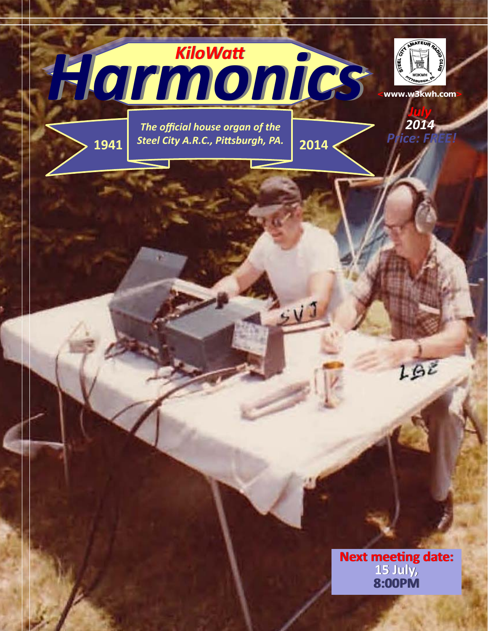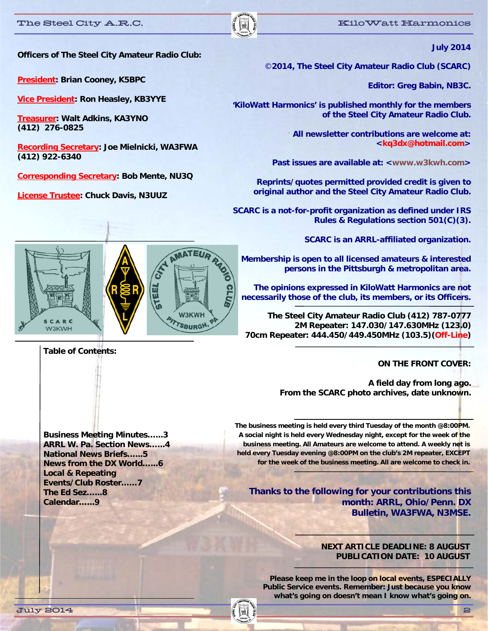

**Officers of The Steel City Amateur Radio Club:** 

**President: Brian Cooney, K5BPC** 

**Vice President: Ron Heasley, KB3YYE** 

**Treasurer: Walt Adkins, KA3YNO (412) 276-0825** 

**Recording Secretary: Joe Mielnicki, WA3FWA (412) 922-6340** 

**Corresponding Secretary: Bob Mente, NU3Q** 

**License Trustee: Chuck Davis, N3UUZ** 

©**2014, The Steel City Amateur Radio Club (SCARC)** 

**Editor: Greg Babin, NB3C.** 

**'KiloWatt Harmonics' is published monthly for the members of the Steel City Amateur Radio Club.** 

> **All newsletter contributions are welcome at: <kq3dx@hotmail.com>**

Past issues are available at: <www.w3kwh.com>

**Reprints/quotes permitted provided credit is given to original author and the Steel City Amateur Radio Club.** 

**SCARC is a not-for-profit organization as defined under IRS Rules & Regulations section 501(C)(3).** 

**SCARC is an ARRL-affiliated organization.** 

**Membership is open to all licensed amateurs & interested persons in the Pittsburgh & metropolitan area.** 

**The opinions expressed in KiloWatt Harmonics are not necessarily those of the club, its members, or its Officers.**

**The Steel City Amateur Radio Club (412) 787-0777 2M Repeater: 147.030/147.630MHz (123.0) 70cm Repeater: 444.450/449.450MHz (103.5)(Off-Line)** 

**ON THE FRONT COVER:** 

**A field day from long ago. From the SCARC photo archives, date unknown.** 

**Business Meeting Minutes…...3 ARRL W. Pa. Section News…...4 National News Briefs…...5 News from the DX World…...6 Local & Repeating Events/Club Roster……7 The Ed Sez…...8 Calendar…...9** 

**The business meeting is held every third Tuesday of the month @8:00PM. A social night is held every Wednesday night, except for the week of the business meeting. All Amateurs are welcome to attend. A weekly net is held every Tuesday evening @8:00PM on the club's 2M repeater, EXCEPT for the week of the business meeting. All are welcome to check in.** 

**Thanks to the following for your contributions this month: ARRL, Ohio/Penn. DX Bulletin, WA3FWA, N3MSE.** 

#### **NEXT ARTICLE DEADLINE: 8 AUGUST PUBLICATION DATE: 10 AUGUST**

**Please keep me in the loop on local events, ESPECIALLY Public Service events. Remember: Just because you know what's going on doesn't mean I know what's going on.** 



**Table of Contents:**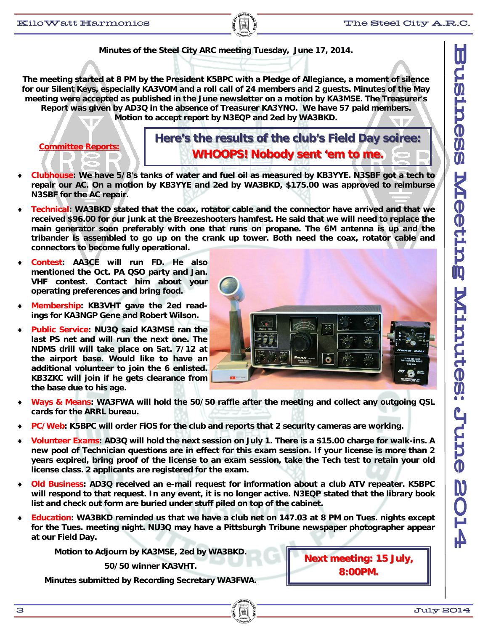

**The meeting started at 8 PM by the President K5BPC with a Pledge of Allegiance, a moment of silence for our Silent Keys, especially KA3VOM and a roll call of 24 members and 2 guests. Minutes of the May meeting were accepted as published in the June newsletter on a motion by KA3MSE. The Treasurer's Report was given by AD3Q in the absence of Treasurer KA3YNO. We have 57 paid members. Motion to accept report by N3EQP and 2ed by WA3BKD.** 

**Committee Reports:** 

Here's the results of the club's Field Day soiree: **WHOOPS! Nobody sent 'em to me.** 

- **Clubhouse: We have 5/8's tanks of water and fuel oil as measured by KB3YYE. N3SBF got a tech to repair our AC. On a motion by KB3YYE and 2ed by WA3BKD, \$175.00 was approved to reimburse N3SBF for the AC repair.**
- **Technical: WA3BKD stated that the coax, rotator cable and the connector have arrived and that we received \$96.00 for our junk at the Breezeshooters hamfest. He said that we will need to replace the main generator soon preferably with one that runs on propane. The 6M antenna is up and the tribander is assembled to go up on the crank up tower. Both need the coax, rotator cable and connectors to become fully operational.**
- **Contest: AA3CE will run FD. He also mentioned the Oct. PA QSO party and Jan. VHF contest. Contact him about your operating preferences and bring food.**
- **Membership: KB3VHT gave the 2ed readings for KA3NGP Gene and Robert Wilson.**
- **Public Service: NU3Q said KA3MSE ran the last PS net and will run the next one. The NDMS drill will take place on Sat. 7/12 at the airport base. Would like to have an additional volunteer to join the 6 enlisted. KB3ZKC will join if he gets clearance from the base due to his age.**



- **Ways & Means: WA3FWA will hold the 50/50 raffle after the meeting and collect any outgoing QSL cards for the ARRL bureau.**
- **PC/Web: K5BPC will order FiOS for the club and reports that 2 security cameras are working.**
- **Volunteer Exams: AD3Q will hold the next session on July 1. There is a \$15.00 charge for walk-ins. A new pool of Technician questions are in effect for this exam session. If your license is more than 2 years expired, bring proof of the license to an exam session, take the Tech test to retain your old license class. 2 applicants are registered for the exam.**
- **Old Business: AD3Q received an e-mail request for information about a club ATV repeater. K5BPC will respond to that request. In any event, it is no longer active. N3EQP stated that the library book list and check out form are buried under stuff piled on top of the cabinet.**
- **Education: WA3BKD reminded us that we have a club net on 147.03 at 8 PM on Tues. nights except for the Tues. meeting night. NU3Q may have a Pittsburgh Tribune newspaper photographer appear at our Field Day.**

**Motion to Adjourn by KA3MSE, 2ed by WA3BKD.** 

**50/50 winner KA3VHT.** 

**Minutes submitted by Recording Secretary WA3FWA.** 

**Next meeting: 15 July, 8:00PM. 8:00PM.**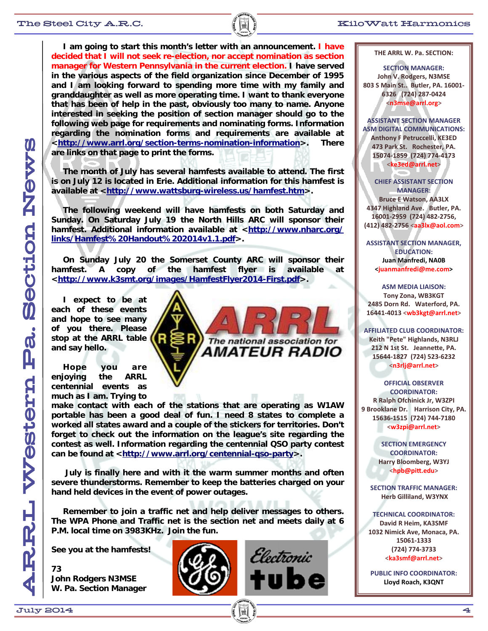#### The Steel City A.R.C.  $\begin{bmatrix} \begin{matrix} \begin{matrix} \mathbf{R} \end{matrix} \end{matrix} \end{bmatrix}$   $\begin{matrix} \begin{matrix} \mathbf{R} \end{matrix} \end{matrix} \end{bmatrix}$   $\begin{matrix} \begin{matrix} \mathbf{R} \end{matrix} \end{matrix}$   $\begin{matrix} \begin{matrix} \mathbf{R} \end{matrix} \end{matrix}$   $\begin{matrix} \begin{matrix} \mathbf{R} \end{matrix} \end{matrix}$   $\begin{matrix} \begin{matrix} \mathbf{R} \end{matrix} \end{matrix}$   $\begin{matrix} \$

 **I am going to start this month's letter with an announcement. I have decided that I will not seek re-election, nor accept nomination as section manager for Western Pennsylvania in the current election. I have served in the various aspects of the field organization since December of 1995 and I am looking forward to spending more time with my family and granddaughter as well as more operating time. I want to thank everyone that has been of help in the past, obviously too many to name. Anyone interested in seeking the position of section manager should go to the following web page for requirements and nominating forms. Information regarding the nomination forms and requirements are available at <http://www.arrl.org/section-terms-nomination-information>. There are links on that page to print the forms.** 

 **The month of July has several hamfests available to attend. The first is on July 12 is located in Erie. Additional information for this hamfest is available at <http://www.wattsburg-wireless.us/hamfest.htm>.** 

 **The following weekend will have hamfests on both Saturday and Sunday. On Saturday July 19 the North Hills ARC will sponsor their hamfest. Additional information available at <http://www.nharc.org/ links/Hamfest%20Handout%202014v1.1.pdf>.** 

 **On Sunday July 20 the Somerset County ARC will sponsor their hamfest. A copy of the hamfest flyer is available at <http://www.k3smt.org/images/HamfestFlyer2014-First.pdf>.** 

 **I expect to be at each of these events and hope to see many of you there. Please stop at the ARRL table and say hello.** 

 **Hope you are enjoying the ARRL centennial events as much as I am. Trying to** 

**make contact with each of the stations that are operating as W1AW portable has been a good deal of fun. I need 8 states to complete a worked all states award and a couple of the stickers for territories. Don't forget to check out the information on the league's site regarding the contest as well. Information regarding the centennial QSO party contest can be found at <http://www.arrl.org/centennial-qso-party>.** 

 **July is finally here and with it the warm summer months and often severe thunderstorms. Remember to keep the batteries charged on your hand held devices in the event of power outages.** 

 **Remember to join a traffic net and help deliver messages to others. The WPA Phone and Traffic net is the section net and meets daily at 6 P.M. local time on 3983KHz. Join the fun.** 

**See you at the hamfests!** 

**73 John Rodgers N3MSE W. Pa. Section Manager** 





The national association for

AMATEUR RADIO

**THE ARRL W. Pa. SECTION:** 

**SECTION MANAGER: John V. Rodgers, N3MSE 803 S Main St.. Butler, PA. 16001‐ 6326 (724) 287‐0424 <n3mse@arrl.org>**

**ASSISTANT SECTION MANAGER ASM DIGITAL COMMUNICATIONS: Anthony F Petruccelli, KE3ED 473 Park St. Rochester, PA. 15074‐1859 (724) 774‐4173 <ke3ed@arrl.net>**

**CHIEF ASSISTANT SECTION MANAGER: Bruce E Watson, AA3LX 4347 Highland Ave. Butler, PA. 16001‐2959 (724) 482‐2756, (412) 482‐2756 <aa3lx@aol.com>**

**ASSISTANT SECTION MANAGER, EDUCATION: Juan Manfredi, NA0B <juanmanfredi@me.com>**

**ASM MEDIA LIAISON: Tony Zona, WB3KGT 2485 Dorn Rd. Waterford, PA. 16441‐4013 <wb3kgt@arrl.net>**

**AFFILIATED CLUB COORDINATOR: Keith "Pete" Highlands, N3RLJ 212 N 1st St. JeanneƩe, PA. 15644‐1827 (724) 523‐6232 <n3rlj@arrl.net>**

**OFFICIAL OBSERVER COORDINATOR: R Ralph Ofchinick Jr, W3ZPI 9 Brooklane Dr. Harrison City, PA. 15636‐1515 (724) 744‐7180 <w3zpi@arrl.net>**

> **SECTION EMERGENCY COORDINATOR: Harry Bloomberg, W3YJ <hpb@piƩ.edu>**

**SECTION TRAFFIC MANAGER: Herb Gilliland, W3YNX** 

**TECHNICAL COORDINATOR: David R Heim, KA3SMF 1032 Nimick Ave, Monaca, PA. 15061‐1333 (724) 774‐3733 <ka3smf@arrl.net>**

**PUBLIC INFO COORDINATOR: Lloyd Roach, K3QNT**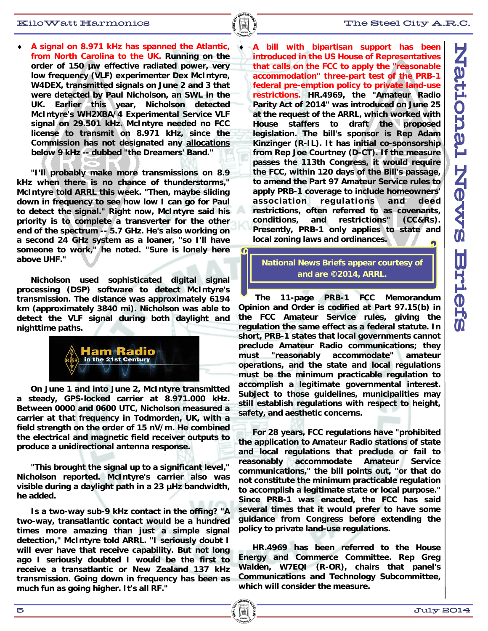#### $\mathbb K$ iloWatt Harmonics  $\|\cdot\|$  and  $\mathbb K$  and  $\mathbb T$ he Steel City A.R.C.

 **A signal on 8.971 kHz has spanned the Atlantic, from North Carolina to the UK. Running on the order of 150 µw effective radiated power, very low frequency (VLF) experimenter Dex McIntyre, W4DEX, transmitted signals on June 2 and 3 that were detected by Paul Nicholson, an SWL in the UK. Earlier this year, Nicholson detected McIntyre's WH2XBA/4 Experimental Service VLF signal on 29.501 kHz. McIntyre needed no FCC license to transmit on 8.971 kHz, since the Commission has not designated any allocations below 9 kHz -- dubbed "the Dreamers' Band."** 

 **"I'll probably make more transmissions on 8.9 kHz when there is no chance of thunderstorms," McIntyre told ARRL this week. "Then, maybe sliding down in frequency to see how low I can go for Paul to detect the signal." Right now, McIntyre said his priority is to complete a transverter for the other end of the spectrum -- 5.7 GHz. He's also working on a second 24 GHz system as a loaner, "so I'll have someone to work," he noted. "Sure is lonely here above UHF."** 

 **Nicholson used sophisticated digital signal processing (DSP) software to detect McIntyre's transmission. The distance was approximately 6194 km (approximately 3840 mi). Nicholson was able to detect the VLF signal during both daylight and nighttime paths.** 



 **On June 1 and into June 2, McIntyre transmitted a steady, GPS-locked carrier at 8.971.000 kHz. Between 0000 and 0600 UTC, Nicholson measured a carrier at that frequency in Todmorden, UK, with a field strength on the order of 15 nV/m. He combined the electrical and magnetic field receiver outputs to produce a unidirectional antenna response.** 

 **"This brought the signal up to a significant level," Nicholson reported. McIntyre's carrier also was visible during a daylight path in a 23 µHz bandwidth, he added.** 

 **Is a two-way sub-9 kHz contact in the offing? "A two-way, transatlantic contact would be a hundred times more amazing than just a simple signal detection," McIntyre told ARRL. "I seriously doubt I will ever have that receive capability. But not long ago I seriously doubted I would be the first to receive a transatlantic or New Zealand 137 kHz transmission. Going down in frequency has been as much fun as going higher. It's all RF."** 

 **A bill with bipartisan support has been introduced in the US House of Representatives that calls on the FCC to apply the "reasonable accommodation" three-part test of the PRB-1 federal pre-emption policy to private land-use restrictions. HR.4969, the "Amateur Radio Parity Act of 2014" was introduced on June 25 at the request of the ARRL, which worked with House staffers to draft the proposed legislation. The bill's sponsor is Rep Adam Kinzinger (R-IL). It has initial co-sponsorship from Rep Joe Courtney (D-CT). If the measure passes the 113th Congress, it would require the FCC, within 120 days of the Bill's passage, to amend the Part 97 Amateur Service rules to apply PRB-1 coverage to include homeowners' association regulations and deed restrictions, often referred to as covenants, conditions, and restrictions" (CC&Rs). Presently, PRB-1 only applies to state and local zoning laws and ordinances.** 

### **National News Briefs appear courtesy of and are ©2014, ARRL.**

 **The 11-page PRB-1 FCC Memorandum Opinion and Order is codified at Part 97.15(b) in the FCC Amateur Service rules, giving the regulation the same effect as a federal statute. In short, PRB-1 states that local governments cannot preclude Amateur Radio communications; they must "reasonably accommodate" amateur operations, and the state and local regulations must be the minimum practicable regulation to accomplish a legitimate governmental interest. Subject to those guidelines, municipalities may still establish regulations with respect to height, safety, and aesthetic concerns.** 

 **For 28 years, FCC regulations have "prohibited the application to Amateur Radio stations of state and local regulations that preclude or fail to reasonably accommodate Amateur Service communications," the bill points out, "or that do not constitute the minimum practicable regulation to accomplish a legitimate state or local purpose." Since PRB-1 was enacted, the FCC has said several times that it would prefer to have some guidance from Congress before extending the policy to private land-use regulations.** 

 **HR.4969 has been referred to the House Energy and Commerce Committee. Rep Greg Walden, W7EQI (R-OR), chairs that panel's Communications and Technology Subcommittee, which will consider the measure.**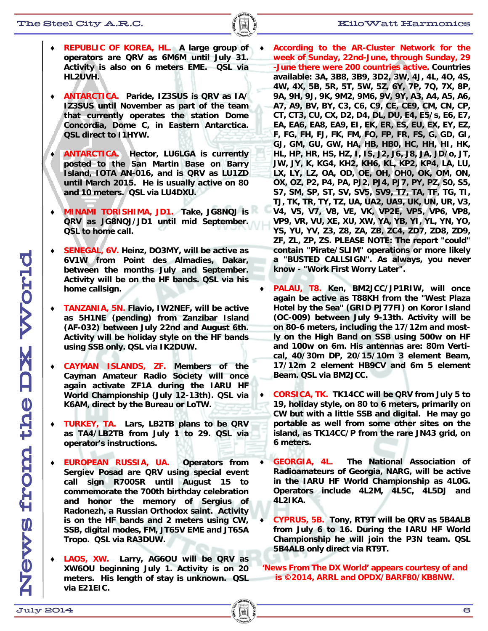- **REPUBLIC OF KOREA, HL. A large group of operators are QRV as 6M6M until July 31. Activity is also on 6 meters EME. QSL via HL2UVH.**
- **ANTARCTICA. Paride, IZ3SUS is QRV as IA/ IZ3SUS until November as part of the team that currently operates the station Dome Concordia, Dome C, in Eastern Antarctica. QSL direct to I1HYW.**
- **ANTARCTICA. Hector, LU6LGA is currently posted to the San Martin Base on Barry Island, IOTA AN-016, and is QRV as LU1ZD until March 2015. He is usually active on 80 and 10 meters. QSL via LU4DXU.**
- **MINAMI TORISHIMA, JD1. Take, JG8NQJ is QRV as JG8NQJ/JD1 until mid September. QSL to home call.**
- **SENEGAL, 6V. Heinz, DO3MY, will be active as 6V1W from Point des Almadies, Dakar, between the months July and September. Activity will be on the HF bands. QSL via his home callsign.**
- **TANZANIA, 5N. Flavio, IW2NEF, will be active as 5H1NE (pending) from Zanzibar Island (AF-032) between July 22nd and August 6th. Activity will be holiday style on the HF bands using SSB only. QSL via IK2DUW.**
- **CAYMAN ISLANDS, ZF. Members of the Cayman Amateur Radio Society will once again activate ZF1A during the IARU HF World Championship (July 12-13th). QSL via K6AM, direct by the Bureau or LoTW.**
- **TURKEY, TA. Lars, LB2TB plans to be QRV as TA4/LB2TB from July 1 to 29. QSL via operator's instructions.**
- **EUROPEAN RUSSIA, UA. Operators from Sergiev Posad are QRV using special event call sign R700SR until August 15 to commemorate the 700th birthday celebration and honor the memory of Sergius of Radonezh, a Russian Orthodox saint. Activity is on the HF bands and 2 meters using CW, SSB, digital modes, FM, JT65V EME and JT65A Tropo. QSL via RA3DUW.**
- **LAOS, XW. Larry, AG6OU will be QRV as XW6OU beginning July 1. Activity is on 20 meters. His length of stay is unknown. QSL via E21EIC.**
- **According to the AR-Cluster Network for the week of Sunday, 22nd-June, through Sunday, 29 -June there were 200 countries active. Countries available: 3A, 3B8, 3B9, 3D2, 3W, 4J, 4L, 4O, 4S, 4W, 4X, 5B, 5R, 5T, 5W, 5Z, 6Y, 7P, 7Q, 7X, 8P, 9A, 9H, 9J, 9K, 9M2, 9M6, 9V, 9Y, A3, A4, A5, A6, A7, A9, BV, BY, C3, C6, C9, CE, CE9, CM, CN, CP, CT, CT3, CU, CX, D2, D4, DL, DU, E4, E5/s, E6, E7, EA, EA6, EA8, EA9, EI, EK, ER, ES, EU, EX, EY, EZ, F, FG, FH, FJ, FK, FM, FO, FP, FR, FS, G, GD, GI, GJ, GM, GU, GW, HA, HB, HB0, HC, HH, HI, HK, HL, HP, HR, HS, HZ, I, IS, J2, J6, J8, JA, JD/o, JT, JW, JY, K, KG4, KH2, KH6, KL, KP2, KP4, LA, LU, LX, LY, LZ, OA, OD, OE, OH, OH0, OK, OM, ON, OX, OZ, P2, P4, PA, PJ2, PJ4, PJ7, PY, PZ, S0, S5, S7, SM, SP, ST, SV, SV5, SV9, T7, TA, TF, TG, TI, TJ, TK, TR, TY, TZ, UA, UA2, UA9, UK, UN, UR, V3, V4, V5, V7, V8, VE, VK, VP2E, VP5, VP6, VP8, VP9, VR, VU, XE, XU, XW, YA, YB, YI, YL, YN, YO, YS, YU, YV, Z3, Z8, ZA, ZB, ZC4, ZD7, ZD8, ZD9, ZF, ZL, ZP, ZS. PLEASE NOTE: The report "could" contain "Pirate/SLIM" operations or more likely a "BUSTED CALLSIGN". As always, you never know - "Work First Worry Later".**
- **PALAU, T8. Ken, BM2JCC/JP1RIW, will once again be active as T88KH from the "West Plaza Hotel by the Sea" (GRID PJ77FI) on Koror Island (OC-009) between July 9-13th. Activity will be on 80-6 meters, including the 17/12m and mostly on the High Band on SSB using 500w on HF and 100w on 6m. His antennas are: 80m Vertical, 40/30m DP, 20/15/10m 3 element Beam, 17/12m 2 element HB9CV and 6m 5 element Beam. QSL via BM2JCC.**
- **CORSICA, TK. TK14CC will be QRV from July 5 to 19, holiday style, on 80 to 6 meters, primarily on CW but with a little SSB and digital. He may go portable as well from some other sites on the island, as TK14CC/P from the rare JN43 grid, on 6 meters.**
- **GEORGIA, 4L. The National Association of Radioamateurs of Georgia, NARG, will be active in the IARU HF World Championship as 4L0G. Operators include 4L2M, 4L5C, 4L5DJ and 4L2IKA.**
- **CYPRUS, 5B. Tony, RT9T will be QRV as 5B4ALB from July 6 to 16. During the IARU HF World Championship he will join the P3N team. QSL 5B4ALB only direct via RT9T.**

**'News From The DX World' appears courtesy of and is ©2014, ARRL and OPDX/BARF80/KB8NW.**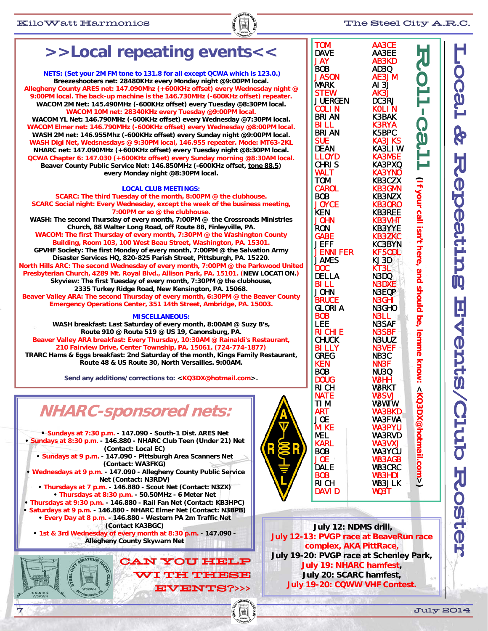

# **>>Local repeating events<<**

**NETS: (Set your 2M FM tone to 131.8 for all except QCWA which is 123.0.) Breezeshooters net: 28480KHz every Monday night @9:00PM local. Allegheny County ARES net: 147.090Mhz (+600KHz offset) every Wednesday night @ 9:00PM local. The back-up machine is the 146.730MHz (-600KHz offset) repeater. WACOM 2M Net: 145.490MHz (-600KHz offset) every Tuesday @8:30PM local. WACOM 10M net: 28340KHz every Tuesday @9:00PM local. WACOM YL Net: 146.790MHz (-600KHz offset) every Wednesday @7:30PM local. WACOM Elmer net: 146.790MHz (-600KHz offset) every Wednesday @8:00PM local. WASH 2M net: 146.955Mhz (-600KHz offset) every Sunday night @9:00PM local. WASH Digi Net, Wedsnesdays @ 9:30PM local, 146.955 repeater. Mode: MT63-2KL NHARC net: 147.090MHz (+600KHz offset) every Tuesday night @8:30PM local. QCWA Chapter 6: 147.030 (+600KHz offset) every Sunday morning @8:30AM local. Beaver County Public Service Net: 146.850MHz (-600KHz offset, tone 88.5) every Monday night @8:30PM local. LOCAL CLUB MEETINGS: SCARC: The third Tuesday of the month, 8:00PM @ the clubhouse. SCARC Social night: Every Wednesday, except the week of the business meeting,** 

**7:00PM or so @ the clubhouse. WASH: The second Thursday of every month, 7:00PM @ the Crossroads Ministries Church, 88 Walter Long Road, off Route 88, Finleyville, PA. WACOM: The first Thursday of every month, 7:30PM @ the Washington County Building, Room 103, 100 West Beau Street, Washington, PA. 15301. GPVHF Society: The first Monday of every month, 7:00PM @ the Salvation Army Disaster Services HQ, 820-825 Parish Street, Pittsburgh, PA. 15220. North Hills ARC: The second Wednesday of every month, 7:00PM @ the Parkwood United Presbyterian Church, 4289 Mt. Royal Blvd., Allison Park, PA. 15101. (NEW LOCATION.) Skyview: The first Tuesday of every month, 7:30PM @ the clubhouse, 2335 Turkey Ridge Road, New Kensington, PA. 15068. Beaver Valley ARA: The second Thursday of every month, 6:30PM @ the Beaver County Emergency Operations Center, 351 14th Street, Ambridge, PA. 15003.**

#### **MISCELLANEOUS:**

**WASH breakfast: Last Saturday of every month, 8:00AM @ Suzy B's, Route 910 @ Route 519 @ US 19, Canonsburg, PA. Beaver Valley ARA breakfast: Every Thursday, 10:30AM @ Rainaldi's Restaurant, 210 Fairview Drive, Center Township, PA. 15061. (724-774-1877) TRARC Hams & Eggs breakfast: 2nd Saturday of the month, Kings Family Restaurant, Route 48 & US Route 30, North Versailles. 9:00AM.** 

**Send any additions/corrections to: <KQ3DX@hotmail.com>.** 

## **NHARC-sponsored nets:**

**• Sundays at 7:30 p.m. - 147.090 - South-1 Dist. ARES Net • Sundays at 8:30 p.m. - 146.880 - NHARC Club Teen (Under 21) Net (Contact: Local EC) • Sundays at 9 p.m. - 147.090 - Pittsburgh Area Scanners Net** 

**(Contact: WA3FKG) • Wednesdays at 9 p.m. - 147.090 - Allegheny County Public Service Net (Contact: N3RDV)** 

**• Thursdays at 7 p.m. - 146.880 - Scout Net (Contact: N3ZX) • Thursdays at 8:30 p.m. - 50.50MHz - 6 Meter Net** 

**• Thursdays at 9:30 p.m. - 146.880 - Rail Fan Net (Contact: KB3HPC) • Saturdays at 9 p.m. - 146.880 - NHARC Elmer Net (Contact: N3BPB)** 

**• Every Day at 8 p.m. - 146.880 - Western PA 2m Traffic Net (Contact KA3BGC)** 

**• 1st & 3rd Wednesday of every month at 8:30 p.m. - 147.090 - Allegheny County Skywarn Net** 

> WI TH THESE WI TH EVENTS?>>> EVENTS?>>>



| <b>TOM</b>       | AA3CE                |                                                                                                    |
|------------------|----------------------|----------------------------------------------------------------------------------------------------|
| <b>DAVE</b>      | AA3EE                |                                                                                                    |
| <b>JAY</b>       | <b>AB3KD</b>         |                                                                                                    |
|                  |                      |                                                                                                    |
| <b>BOB</b>       | AD3Q                 |                                                                                                    |
| <b>JASON</b>     | AE3JM                |                                                                                                    |
|                  |                      |                                                                                                    |
| <b>MARK</b>      | AI 3J                |                                                                                                    |
| <b>STEW</b>      | <b>AK3J</b><br>DC3RJ |                                                                                                    |
| <b>JUERGEN</b>   |                      |                                                                                                    |
|                  |                      |                                                                                                    |
| <b>COLIN</b>     | <b>KOLIN</b>         |                                                                                                    |
| <b>BRI AN</b>    | K3BAK                |                                                                                                    |
|                  |                      |                                                                                                    |
| BI LL            | <b>K3RYA</b>         |                                                                                                    |
| <b>BRI AN</b>    | K5BPC                |                                                                                                    |
| <b>SUE</b>       | <b>KA3JKS</b>        |                                                                                                    |
|                  |                      |                                                                                                    |
| <b>DEAN</b>      | <b>KA3LIW</b>        |                                                                                                    |
| <b>LLOYD</b>     | <b>KA3MSE</b>        |                                                                                                    |
| <b>CHRIS</b>     | KA3PXQ               |                                                                                                    |
|                  |                      |                                                                                                    |
| <b>WALT</b>      | <b>KA3YNO</b>        |                                                                                                    |
| <b>TOM</b>       | <b>KB3CZX</b>        |                                                                                                    |
|                  |                      |                                                                                                    |
| <b>CAROL</b>     | <b>KB3GMN</b>        |                                                                                                    |
| <b>BOB</b>       | <b>KB3NZX</b>        |                                                                                                    |
| <b>JOYCE</b>     | <b>KB30R0</b>        |                                                                                                    |
|                  |                      |                                                                                                    |
| KEN              | <b>KB3REE</b>        |                                                                                                    |
| <b>JOHN</b>      | <b>KB3VHT</b>        |                                                                                                    |
| <b>RON</b>       | <b>KB3YYE</b>        |                                                                                                    |
|                  |                      |                                                                                                    |
| <b>GABE</b>      | KB3ZKC<br>KC3BYN     |                                                                                                    |
| <b>JEFF</b>      |                      |                                                                                                    |
|                  |                      |                                                                                                    |
| <b>JENNI FER</b> | <b>KF50Dl</b>        |                                                                                                    |
| <b>JAMES</b>     | KJ3D                 |                                                                                                    |
| <b>DOC</b>       | KT3L                 |                                                                                                    |
|                  |                      |                                                                                                    |
| <b>DELLA</b>     | N3DQ                 |                                                                                                    |
| <b>BILL</b>      | <b>N3DXE</b>         |                                                                                                    |
| <b>JOHN</b>      | <b>N3EQP</b>         |                                                                                                    |
|                  |                      |                                                                                                    |
| <b>BRUCE</b>     | <b>N3GHI</b>         |                                                                                                    |
| <b>GLORIA</b>    | N3GHO                |                                                                                                    |
|                  | <b>N3LL</b>          |                                                                                                    |
| <b>BOB</b>       |                      |                                                                                                    |
| LEE              | <b>N3SAF</b>         |                                                                                                    |
| RI CHI E         | <b>N3SBF</b>         |                                                                                                    |
|                  |                      |                                                                                                    |
| <b>CHUCK</b>     | N3UUZ                |                                                                                                    |
| <b>BILLY</b>     | <b>N3VEF</b>         |                                                                                                    |
| <b>GREG</b>      | NB <sub>3</sub> C    |                                                                                                    |
|                  |                      |                                                                                                    |
| <b>KEN</b>       | <b>NN3F</b>          |                                                                                                    |
| <b>BOB</b>       | <b>NU3Q</b>          |                                                                                                    |
| <b>DOUG</b>      | <b>W3HH</b>          |                                                                                                    |
|                  |                      |                                                                                                    |
| RI CH            | <b>W3RKT</b>         |                                                                                                    |
| <b>NATE</b>      | <b>W3SVJ</b>         |                                                                                                    |
|                  |                      |                                                                                                    |
| <b>TIM</b>       | W3WTW                |                                                                                                    |
| <b>ART</b>       | <b>WA3BKD</b>        |                                                                                                    |
| <b>JOE</b>       | <b>WA3FWA</b>        |                                                                                                    |
|                  |                      |                                                                                                    |
| <b>MIKE</b>      | <b>WA3PYU</b>        |                                                                                                    |
| <b>MEL</b>       | <b>WA3RVD</b>        |                                                                                                    |
| <b>KARL</b>      | <b>WA3VXJ</b>        |                                                                                                    |
|                  |                      |                                                                                                    |
| <b>BOB</b>       | <b>WA3YCU</b>        |                                                                                                    |
| <b>JOE</b>       | <b>WB3AGB</b>        |                                                                                                    |
|                  |                      |                                                                                                    |
| <b>DALE</b>      | <b>WB3CRC</b>        |                                                                                                    |
| <b>BOB</b>       | <b>WB3HDI</b>        |                                                                                                    |
| <b>RICH</b>      | <b>WB3JLK</b>        | .[1] Your call i isn1: Pere。and shocld be, 「emme know. <ko3dx@dohatmail:com></ko3dx@dohatmail:com> |
|                  |                      |                                                                                                    |
| <b>DAVI D</b>    | <b>WQ3T</b>          |                                                                                                    |
|                  |                      |                                                                                                    |

**July 12: NDMS drill, July 12-13: PVGP race at BeaveRun race complex, AKA PittRace, July 19-20: PVGP race at Schenley Park, July 19: NHARC hamfest, July 20: SCARC hamfest, July 19-20: CQWW VHF Contest.**

7 July 2014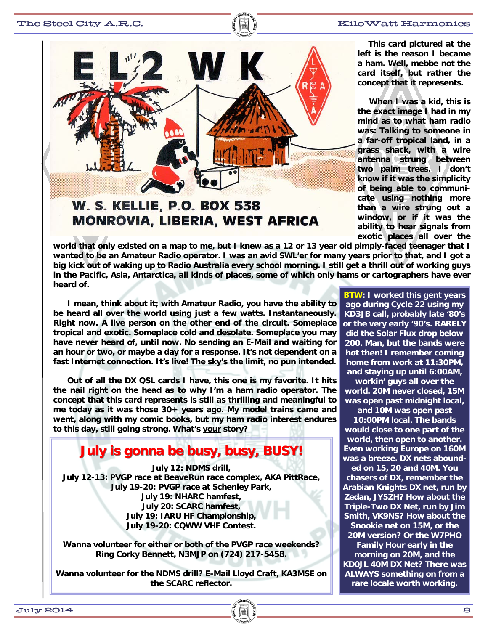

### **W. S. KELLIE, P.O. BOX 538 MONROVIA, LIBERIA, WEST AFRICA**

 **This card pictured at the left is the reason I became a ham. Well, mebbe not the card itself, but rather the concept that it represents.** 

 **When I was a kid, this is the exact image I had in my mind as to what ham radio was: Talking to someone in a far-off tropical land, in a grass shack, with a wire antenna strung between two palm trees. I don't know if it was the simplicity of being able to communicate using nothing more than a wire strung out a window, or if it was the ability to hear signals from exotic places all over the** 

**world that only existed on a map to me, but I knew as a 12 or 13 year old pimply-faced teenager that I wanted to be an Amateur Radio operator. I was an avid SWL'er for many years prior to that, and I got a big kick out of waking up to Radio Australia every school morning. I still get a thrill out of working guys in the Pacific, Asia, Antarctica, all kinds of places, some of which only hams or cartographers have ever heard of.** 

 **I mean, think about it; with Amateur Radio, you have the ability to be heard all over the world using just a few watts. Instantaneously. Right now. A live person on the other end of the circuit. Someplace tropical and exotic. Someplace cold and desolate. Someplace you may have never heard of, until now. No sending an E-Mail and waiting for an hour or two, or maybe a day for a response. It's not dependent on a fast Internet connection. It's live! The sky's the limit, no pun intended.** 

 **Out of all the DX QSL cards I have, this one is my favorite. It hits the nail right on the head as to why I'm a ham radio operator. The concept that this card represents is still as thrilling and meaningful to me today as it was those 30+ years ago. My model trains came and went, along with my comic books, but my ham radio interest endures to this day, still going strong. What's your story?** 

### **July is gonna be busy, busy July is gonna be busy, busy, BUSY!**

**July 12: NDMS drill, July 12-13: PVGP race at BeaveRun race complex, AKA PittRace, July 19-20: PVGP race at Schenley Park, July 19: NHARC hamfest, July 20: SCARC hamfest, July 19: IARU HF Championship, July 19-20: CQWW VHF Contest.** 

**Wanna volunteer for either or both of the PVGP race weekends? Ring Corky Bennett, N3MJP on (724) 217-5458.** 

**Wanna volunteer for the NDMS drill? E-Mail Lloyd Craft, KA3MSE on the SCARC reflector.** 

**BTW: I worked this gent years ago during Cycle 22 using my KD3JB call, probably late '80's or the very early '90's. RARELY did the Solar Flux drop below 200. Man, but the bands were hot then! I remember coming home from work at 11:30PM, and staying up until 6:00AM,** 

**workin' guys all over the world. 20M never closed, 15M was open past midnight local,** 

**and 10M was open past 10:00PM local. The bands would close to one part of the world, then open to another. Even working Europe on 160M was a breeze. DX nets abounded on 15, 20 and 40M. You chasers of DX, remember the Arabian Knights DX net, run by Zedan, JY5ZH? How about the Triple-Two DX Net, run by Jim Smith, VK9NS? How about the Snookie net on 15M, or the 20M version? Or the W7PHO Family Hour early in the morning on 20M, and the KD0JL 40M DX Net? There was** 

**ALWAYS something on from a rare locale worth working.**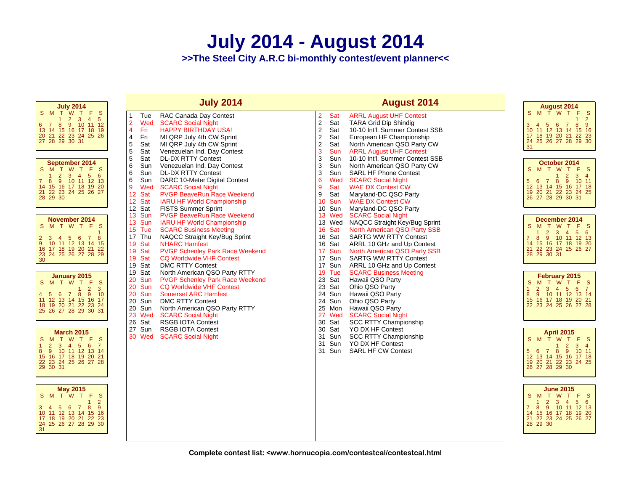# **July 2014 - August 2014**

**>>The Steel City A.R.C bi-monthly contest/event planner<<**

| <b>July 2014</b>                                                                                                                                                                                                                                | <b>July 2014</b>                                                                                                                                                                                                                                                                                                                                                                                                                                                                                                                                                                                                                                                                                                                          | <b>August 2014</b>                                                                                                                                                                                                                                                                                                                                | August 2014                                                                                                                                                                                                                       |
|-------------------------------------------------------------------------------------------------------------------------------------------------------------------------------------------------------------------------------------------------|-------------------------------------------------------------------------------------------------------------------------------------------------------------------------------------------------------------------------------------------------------------------------------------------------------------------------------------------------------------------------------------------------------------------------------------------------------------------------------------------------------------------------------------------------------------------------------------------------------------------------------------------------------------------------------------------------------------------------------------------|---------------------------------------------------------------------------------------------------------------------------------------------------------------------------------------------------------------------------------------------------------------------------------------------------------------------------------------------------|-----------------------------------------------------------------------------------------------------------------------------------------------------------------------------------------------------------------------------------|
| S M T W T F S<br>$3 \quad 4$<br>$5\phantom{.0}$<br>$\overline{2}$<br>$\mathbf{1}$<br>6<br>8<br>$9^{\circ}$<br>10 11 12<br>$\overline{7}$<br>13 14 15 16 17 18 19<br>20 21 22 23 24 25 26<br>27 28 29 30 31                                      | Tue<br>RAC Canada Day Contest<br>1<br>$\overline{2}$<br>Wed<br><b>SCARC Social Night</b><br>4<br>Fri<br><b>HAPPY BIRTHDAY USA!</b><br>4<br>Fri<br>MI QRP July 4th CW Sprint<br>5<br>Sat<br>MI QRP July 4th CW Sprint<br>5<br>Sat<br>Venezuelan Ind. Day Contest                                                                                                                                                                                                                                                                                                                                                                                                                                                                           | $\overline{2}$<br>Sat<br><b>ARRL August UHF Contest</b><br>$\sqrt{2}$<br>Sat<br><b>TARA Grid Dip Shindig</b><br>$\sqrt{2}$<br>10-10 Int'l. Summer Contest SSB<br>Sat<br>$\sqrt{2}$<br>Sat<br>European HF Championship<br>$\overline{2}$<br>Sat<br>North American QSO Party CW<br>3<br><b>ARRL August UHF Contest</b><br>Sun                       | S M T W<br>T F S<br>$\overline{2}$<br>7 8 9<br>$5^{\circ}$<br>3<br>- 6<br>4<br>10 11 12 13 14 15 16<br>17 18 19 20 21 22 23<br>24 25 26 27 28 29 30<br>31                                                                         |
| September 2014<br><b>S</b><br>M T W T F<br>S.<br>$2^{\circ}$<br>3 4 5 6<br>9 10 11 12 13<br>8<br>14 15 16 17 18 19 20<br>21 22 23 24 25 26 27<br>28 29 30                                                                                       | 5<br>Sat<br><b>DL-DX RTTY Contest</b><br>6<br>Sun<br>Venezuelan Ind. Day Contest<br>6<br>Sun<br><b>DL-DX RTTY Contest</b><br>6<br>Sun<br>DARC 10-Meter Digital Contest<br>9<br>Wed<br><b>SCARC Social Night</b><br>12<br>Sat<br><b>PVGP BeaveRun Race Weekend</b><br>12<br>Sat<br><b>IARU HF World Championship</b><br>12 Sat<br><b>FISTS Summer Sprint</b><br>13<br>Sun<br><b>PVGP BeaveRun Race Weekend</b><br>13 Sun<br><b>IARU HF World Championship</b><br>15<br>Tue<br><b>SCARC Business Meeting</b><br>17 Thu<br>NAQCC Straight Key/Bug Sprint<br>Sat<br><b>NHARC Hamfest</b><br>19<br>19<br>Sat<br><b>PVGP Schenley Park Race Weekend</b><br>Sat<br>19<br><b>CQ Worldwide VHF Contest</b><br>19<br>Sat<br><b>DMC RTTY Contest</b> | 3<br>Sun<br>10-10 Int'l. Summer Contest SSB<br>3<br>Sun<br>North American QSO Party CW<br>3<br>Sun<br><b>SARL HF Phone Contest</b><br>6<br>Wed<br><b>SCARC Social Night</b><br>9<br>Sat<br><b>WAE DX Contest CW</b><br>9<br>Sat<br>Maryland-DC QSO Party<br>Sun<br><b>WAE DX Contest CW</b><br>10 <sup>°</sup><br>10 Sun<br>Maryland-DC QSO Party | October 2014<br>S<br>T F S<br>M T W<br>$\overline{2}$<br>3 <sub>4</sub><br>9 10 11<br>-8<br>5<br>6<br>$\overline{7}$<br>12 <sup>2</sup><br>13 14 15 16 17 18<br>19 20 21 22 23 24 25<br>26 27 28 29 30 31                         |
| November 2014<br>S M T W T F S<br>3 4 5 6 7 8<br>10 11 12 13 14 15<br>$\overline{7}$<br>$\overline{2}$<br>9 <sup>°</sup><br>16 17 18 19 20 21 22<br>23 24 25 26 27 28 29<br>30                                                                  |                                                                                                                                                                                                                                                                                                                                                                                                                                                                                                                                                                                                                                                                                                                                           | <b>SCARC Social Night</b><br>13 Wed<br>13 Wed<br>NAQCC Straight Key/Bug Sprint<br>North American QSO Party SSB<br>16 Sat<br>16 Sat<br><b>SARTG WW RTTY Contest</b><br>16 Sat<br>ARRL 10 GHz and Up Contest<br>17 Sun<br>North American QSO Party SSB<br>17 Sun<br><b>SARTG WW RTTY Contest</b><br>17 Sun<br>ARRL 10 GHz and Up Contest            | December 2014<br>M T W T F S<br>S.<br>56<br>$\overline{2}$<br>3 <sup>2</sup><br>4 <sup>1</sup><br>9<br>10 11 12 13<br>$\overline{7}$<br>8<br>15 16 17 18 19 20<br>14<br>22 23 24 25 26 27<br>21 <sup>2</sup><br>28 29 30 31       |
| <b>January 2015</b><br>SMTWTF<br><b>S</b><br>$\frac{2}{9}$<br>3<br>$4\quad 5$<br>6<br>10<br>$\overline{7}$<br>8<br>11 12 13 14 15 16 17<br>18 19 20 21 22 23 24<br>25 26 27 28 29 30 31                                                         | Sat<br>19<br>North American QSO Party RTTY<br>20<br>Sun<br><b>PVGP Schenley Park Race Weekend</b><br>20<br>Sun<br><b>CQ Worldwide VHF Contest</b><br>20<br>Sun<br><b>Somerset ARC Hamfest</b><br>20<br>Sun<br><b>DMC RTTY Contest</b><br>20<br>Sun<br>North American QSO Party RTTY<br>23<br>Wed<br><b>SCARC Social Night</b><br>Sat<br>26<br><b>RSGB IOTA Contest</b>                                                                                                                                                                                                                                                                                                                                                                    | 19 Tue<br><b>SCARC Business Meeting</b><br>23 Sat<br>Hawaii QSO Party<br>23 Sat<br>Ohio QSO Party<br>24 Sun<br>Hawaii QSO Party<br>24 Sun<br>Ohio QSO Party<br>25 Mon<br>Hawaii QSO Party<br>27 Wed<br><b>SCARC Social Night</b><br>30 Sat<br><b>SCC RTTY Championship</b>                                                                        | February 2015<br><sub>S</sub><br>M T W T F S<br>2 3 4 5 6 7<br>10 11 12 13 14<br>9<br>8<br>15 16 17 18 19 20 21<br>22 23 24 25 26 27 28                                                                                           |
| <b>March 2015</b><br>S M T W T F<br>- S<br>$\overline{2}$<br>56<br>$\mathbf{1}$<br>3 <sup>2</sup><br>$\overline{4}$<br>$\overline{7}$<br>10 11 12 13 14<br>8<br>-9<br>15 <sup>15</sup><br>16 17 18 19 20 21<br>22 23 24 25 26 27 28<br>29 30 31 | 27<br>RSGB IOTA Contest<br>Sun<br>30<br>Wed<br><b>SCARC Social Night</b>                                                                                                                                                                                                                                                                                                                                                                                                                                                                                                                                                                                                                                                                  | 30 Sat<br>YO DX HF Contest<br>31 Sun<br><b>SCC RTTY Championship</b><br>31 Sun<br>YO DX HF Contest<br>31 Sun<br><b>SARL HF CW Contest</b>                                                                                                                                                                                                         | <b>April 2015</b><br>S M T W<br>T F S<br>$\overline{2}$<br>3 <sup>7</sup><br>$\overline{4}$<br>1<br>9 10 11<br>78<br>$5^{\circ}$<br>$6^{\circ}$<br>12 <sup>°</sup><br>13 14 15 16 17 18<br>19 20 21 22 23 24 25<br>26 27 28 29 30 |
| <b>May 2015</b><br>S M T W T F<br><sub>S</sub><br>$\overline{2}$<br>$\blacktriangleleft$<br>8<br>$\overline{7}$<br>9<br>5 <sup>1</sup><br>34<br>6<br>14 15 16<br>10 11 12 13<br>17 18 19 20 21 22 23<br>24 25 26 27 28 29 30<br>31              |                                                                                                                                                                                                                                                                                                                                                                                                                                                                                                                                                                                                                                                                                                                                           |                                                                                                                                                                                                                                                                                                                                                   | <b>June 2015</b><br>S M T W T F S<br>56<br>$\overline{2}$<br>3<br>$\sim$ 4<br>9 10 11 12 13<br>$7^{\circ}$<br>8<br>15 16 17 18 19 20<br>14<br>21 22 23 24 25 26 27<br>28 29 30                                                    |